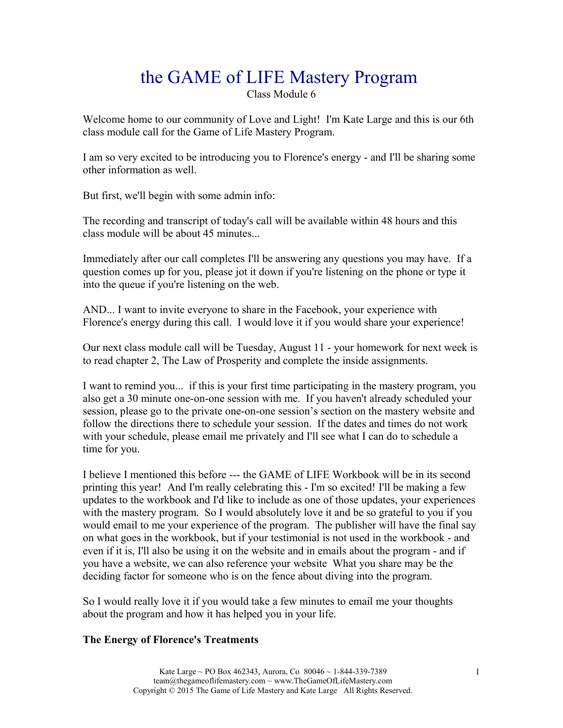# the GAME of LIFE Mastery Program

Class Module 6

Welcome home to our community of Love and Light! I'm Kate Large and this is our 6th class module call for the Game of Life Mastery Program.

I am so very excited to be introducing you to Florence's energy - and I'll be sharing some other information as well.

But first, we'll begin with some admin info:

The recording and transcript of today's call will be available within 48 hours and this class module will be about 45 minutes...

Immediately after our call completes I'll be answering any questions you may have. If a question comes up for you, please jot it down if you're listening on the phone or type it into the queue if you're listening on the web.

AND... I want to invite everyone to share in the Facebook, your experience with Florence's energy during this call. I would love it if you would share your experience!

Our next class module call will be Tuesday, August 11 - your homework for next week is to read chapter 2, The Law of Prosperity and complete the inside assignments.

I want to remind you... if this is your first time participating in the mastery program, you also get a 30 minute one-on-one session with me. If you haven't already scheduled your session, please go to the private one-on-one session's section on the mastery website and follow the directions there to schedule your session. If the dates and times do not work with your schedule, please email me privately and I'll see what I can do to schedule a time for you.

I believe I mentioned this before --- the GAME of LIFE Workbook will be in its second printing this year! And I'm really celebrating this - I'm so excited! I'll be making a few updates to the workbook and I'd like to include as one of those updates, your experiences with the mastery program. So I would absolutely love it and be so grateful to you if you would email to me your experience of the program. The publisher will have the final say on what goes in the workbook, but if your testimonial is not used in the workbook - and even if it is, I'll also be using it on the website and in emails about the program - and if you have a website, we can also reference your website What you share may be the deciding factor for someone who is on the fence about diving into the program.

So I would really love it if you would take a few minutes to email me your thoughts about the program and how it has helped you in your life.

## **The Energy of Florence's Treatments**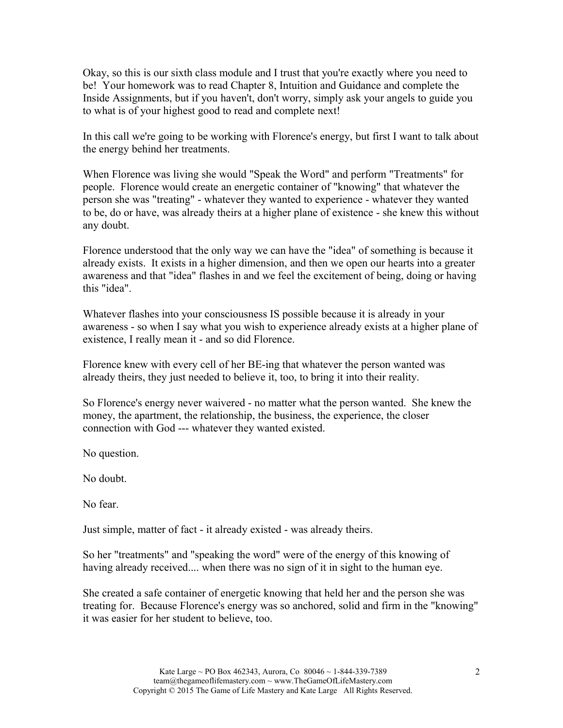Okay, so this is our sixth class module and I trust that you're exactly where you need to be! Your homework was to read Chapter 8, Intuition and Guidance and complete the Inside Assignments, but if you haven't, don't worry, simply ask your angels to guide you to what is of your highest good to read and complete next!

In this call we're going to be working with Florence's energy, but first I want to talk about the energy behind her treatments.

When Florence was living she would "Speak the Word" and perform "Treatments" for people. Florence would create an energetic container of "knowing" that whatever the person she was "treating" - whatever they wanted to experience - whatever they wanted to be, do or have, was already theirs at a higher plane of existence - she knew this without any doubt.

Florence understood that the only way we can have the "idea" of something is because it already exists. It exists in a higher dimension, and then we open our hearts into a greater awareness and that "idea" flashes in and we feel the excitement of being, doing or having this "idea".

Whatever flashes into your consciousness IS possible because it is already in your awareness - so when I say what you wish to experience already exists at a higher plane of existence, I really mean it - and so did Florence.

Florence knew with every cell of her BE-ing that whatever the person wanted was already theirs, they just needed to believe it, too, to bring it into their reality.

So Florence's energy never waivered - no matter what the person wanted. She knew the money, the apartment, the relationship, the business, the experience, the closer connection with God --- whatever they wanted existed.

No question.

No doubt.

No fear.

Just simple, matter of fact - it already existed - was already theirs.

So her "treatments" and "speaking the word" were of the energy of this knowing of having already received.... when there was no sign of it in sight to the human eye.

She created a safe container of energetic knowing that held her and the person she was treating for. Because Florence's energy was so anchored, solid and firm in the "knowing" it was easier for her student to believe, too.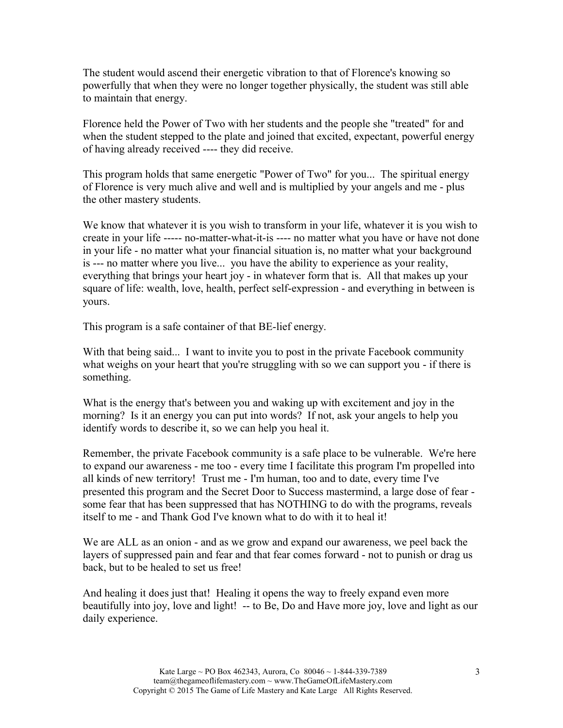The student would ascend their energetic vibration to that of Florence's knowing so powerfully that when they were no longer together physically, the student was still able to maintain that energy.

Florence held the Power of Two with her students and the people she "treated" for and when the student stepped to the plate and joined that excited, expectant, powerful energy of having already received ---- they did receive.

This program holds that same energetic "Power of Two" for you... The spiritual energy of Florence is very much alive and well and is multiplied by your angels and me - plus the other mastery students.

We know that whatever it is you wish to transform in your life, whatever it is you wish to create in your life ----- no-matter-what-it-is ---- no matter what you have or have not done in your life - no matter what your financial situation is, no matter what your background is --- no matter where you live... you have the ability to experience as your reality, everything that brings your heart joy - in whatever form that is. All that makes up your square of life: wealth, love, health, perfect self-expression - and everything in between is yours.

This program is a safe container of that BE-lief energy.

With that being said... I want to invite you to post in the private Facebook community what weighs on your heart that you're struggling with so we can support you - if there is something.

What is the energy that's between you and waking up with excitement and joy in the morning? Is it an energy you can put into words? If not, ask your angels to help you identify words to describe it, so we can help you heal it.

Remember, the private Facebook community is a safe place to be vulnerable. We're here to expand our awareness - me too - every time I facilitate this program I'm propelled into all kinds of new territory! Trust me - I'm human, too and to date, every time I've presented this program and the Secret Door to Success mastermind, a large dose of fear some fear that has been suppressed that has NOTHING to do with the programs, reveals itself to me - and Thank God I've known what to do with it to heal it!

We are ALL as an onion - and as we grow and expand our awareness, we peel back the layers of suppressed pain and fear and that fear comes forward - not to punish or drag us back, but to be healed to set us free!

And healing it does just that! Healing it opens the way to freely expand even more beautifully into joy, love and light! -- to Be, Do and Have more joy, love and light as our daily experience.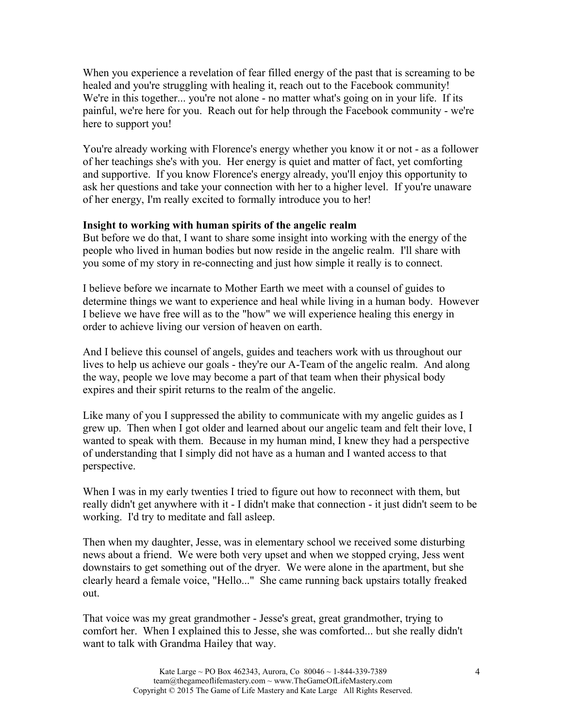When you experience a revelation of fear filled energy of the past that is screaming to be healed and you're struggling with healing it, reach out to the Facebook community! We're in this together... you're not alone - no matter what's going on in your life. If its painful, we're here for you. Reach out for help through the Facebook community - we're here to support you!

You're already working with Florence's energy whether you know it or not - as a follower of her teachings she's with you. Her energy is quiet and matter of fact, yet comforting and supportive. If you know Florence's energy already, you'll enjoy this opportunity to ask her questions and take your connection with her to a higher level. If you're unaware of her energy, I'm really excited to formally introduce you to her!

## **Insight to working with human spirits of the angelic realm**

But before we do that, I want to share some insight into working with the energy of the people who lived in human bodies but now reside in the angelic realm. I'll share with you some of my story in re-connecting and just how simple it really is to connect.

I believe before we incarnate to Mother Earth we meet with a counsel of guides to determine things we want to experience and heal while living in a human body. However I believe we have free will as to the "how" we will experience healing this energy in order to achieve living our version of heaven on earth.

And I believe this counsel of angels, guides and teachers work with us throughout our lives to help us achieve our goals - they're our A-Team of the angelic realm. And along the way, people we love may become a part of that team when their physical body expires and their spirit returns to the realm of the angelic.

Like many of you I suppressed the ability to communicate with my angelic guides as I grew up. Then when I got older and learned about our angelic team and felt their love, I wanted to speak with them. Because in my human mind, I knew they had a perspective of understanding that I simply did not have as a human and I wanted access to that perspective.

When I was in my early twenties I tried to figure out how to reconnect with them, but really didn't get anywhere with it - I didn't make that connection - it just didn't seem to be working. I'd try to meditate and fall asleep.

Then when my daughter, Jesse, was in elementary school we received some disturbing news about a friend. We were both very upset and when we stopped crying, Jess went downstairs to get something out of the dryer. We were alone in the apartment, but she clearly heard a female voice, "Hello..." She came running back upstairs totally freaked out.

That voice was my great grandmother - Jesse's great, great grandmother, trying to comfort her. When I explained this to Jesse, she was comforted... but she really didn't want to talk with Grandma Hailey that way.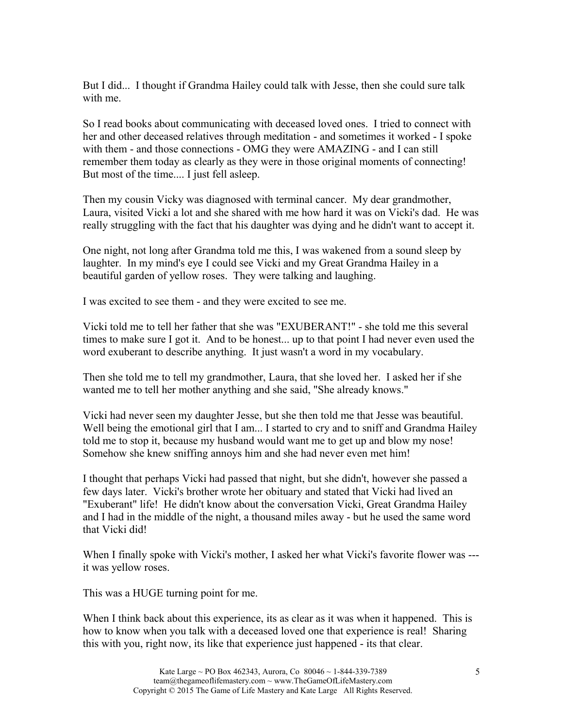But I did... I thought if Grandma Hailey could talk with Jesse, then she could sure talk with me.

So I read books about communicating with deceased loved ones. I tried to connect with her and other deceased relatives through meditation - and sometimes it worked - I spoke with them - and those connections - OMG they were AMAZING - and I can still remember them today as clearly as they were in those original moments of connecting! But most of the time.... I just fell asleep.

Then my cousin Vicky was diagnosed with terminal cancer. My dear grandmother, Laura, visited Vicki a lot and she shared with me how hard it was on Vicki's dad. He was really struggling with the fact that his daughter was dying and he didn't want to accept it.

One night, not long after Grandma told me this, I was wakened from a sound sleep by laughter. In my mind's eye I could see Vicki and my Great Grandma Hailey in a beautiful garden of yellow roses. They were talking and laughing.

I was excited to see them - and they were excited to see me.

Vicki told me to tell her father that she was "EXUBERANT!" - she told me this several times to make sure I got it. And to be honest... up to that point I had never even used the word exuberant to describe anything. It just wasn't a word in my vocabulary.

Then she told me to tell my grandmother, Laura, that she loved her. I asked her if she wanted me to tell her mother anything and she said, "She already knows."

Vicki had never seen my daughter Jesse, but she then told me that Jesse was beautiful. Well being the emotional girl that I am... I started to cry and to sniff and Grandma Hailey told me to stop it, because my husband would want me to get up and blow my nose! Somehow she knew sniffing annoys him and she had never even met him!

I thought that perhaps Vicki had passed that night, but she didn't, however she passed a few days later. Vicki's brother wrote her obituary and stated that Vicki had lived an "Exuberant" life! He didn't know about the conversation Vicki, Great Grandma Hailey and I had in the middle of the night, a thousand miles away - but he used the same word that Vicki did!

When I finally spoke with Vicki's mother, I asked her what Vicki's favorite flower was -- it was yellow roses.

This was a HUGE turning point for me.

When I think back about this experience, its as clear as it was when it happened. This is how to know when you talk with a deceased loved one that experience is real! Sharing this with you, right now, its like that experience just happened - its that clear.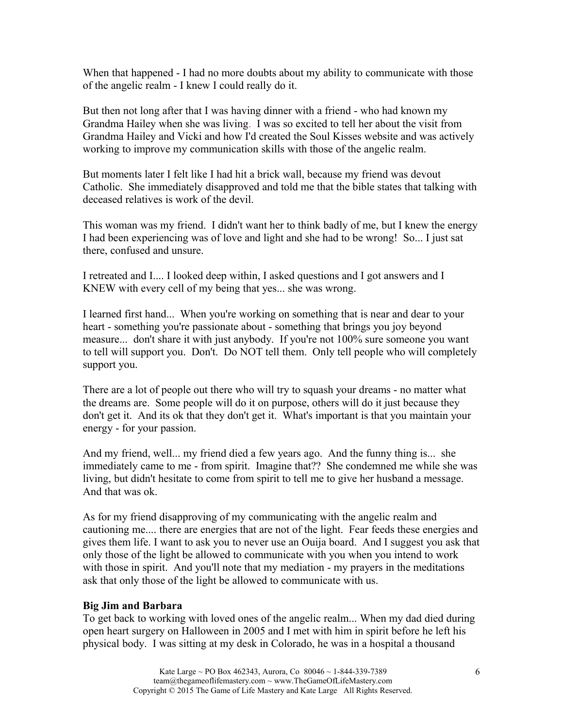When that happened - I had no more doubts about my ability to communicate with those of the angelic realm - I knew I could really do it.

But then not long after that I was having dinner with a friend - who had known my Grandma Hailey when she was living. I was so excited to tell her about the visit from Grandma Hailey and Vicki and how I'd created the Soul Kisses website and was actively working to improve my communication skills with those of the angelic realm.

But moments later I felt like I had hit a brick wall, because my friend was devout Catholic. She immediately disapproved and told me that the bible states that talking with deceased relatives is work of the devil.

This woman was my friend. I didn't want her to think badly of me, but I knew the energy I had been experiencing was of love and light and she had to be wrong! So... I just sat there, confused and unsure.

I retreated and I.... I looked deep within, I asked questions and I got answers and I KNEW with every cell of my being that yes... she was wrong.

I learned first hand... When you're working on something that is near and dear to your heart - something you're passionate about - something that brings you joy beyond measure... don't share it with just anybody. If you're not 100% sure someone you want to tell will support you. Don't. Do NOT tell them. Only tell people who will completely support you.

There are a lot of people out there who will try to squash your dreams - no matter what the dreams are. Some people will do it on purpose, others will do it just because they don't get it. And its ok that they don't get it. What's important is that you maintain your energy - for your passion.

And my friend, well... my friend died a few years ago. And the funny thing is... she immediately came to me - from spirit. Imagine that?? She condemned me while she was living, but didn't hesitate to come from spirit to tell me to give her husband a message. And that was ok.

As for my friend disapproving of my communicating with the angelic realm and cautioning me.... there are energies that are not of the light. Fear feeds these energies and gives them life. I want to ask you to never use an Ouija board. And I suggest you ask that only those of the light be allowed to communicate with you when you intend to work with those in spirit. And you'll note that my mediation - my prayers in the meditations ask that only those of the light be allowed to communicate with us.

### **Big Jim and Barbara**

To get back to working with loved ones of the angelic realm... When my dad died during open heart surgery on Halloween in 2005 and I met with him in spirit before he left his physical body. I was sitting at my desk in Colorado, he was in a hospital a thousand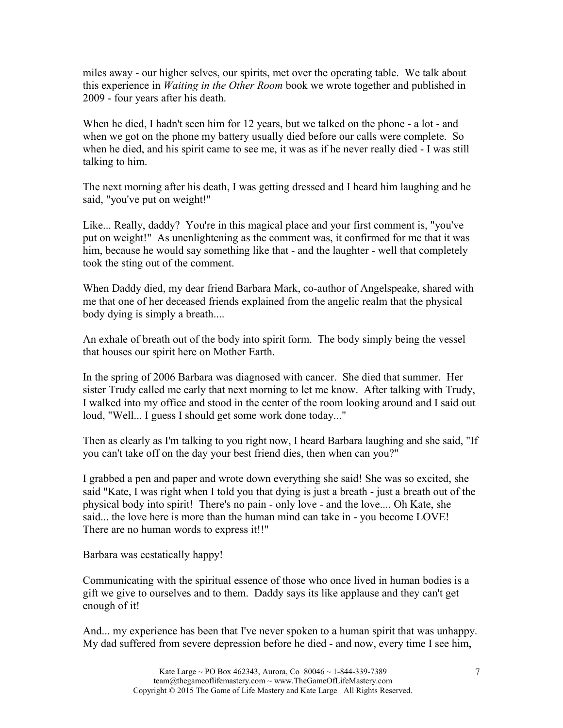miles away - our higher selves, our spirits, met over the operating table. We talk about this experience in *Waiting in the Other Room* book we wrote together and published in 2009 - four years after his death.

When he died, I hadn't seen him for 12 years, but we talked on the phone - a lot - and when we got on the phone my battery usually died before our calls were complete. So when he died, and his spirit came to see me, it was as if he never really died - I was still talking to him.

The next morning after his death, I was getting dressed and I heard him laughing and he said, "you've put on weight!"

Like... Really, daddy? You're in this magical place and your first comment is, "you've put on weight!" As unenlightening as the comment was, it confirmed for me that it was him, because he would say something like that - and the laughter - well that completely took the sting out of the comment.

When Daddy died, my dear friend Barbara Mark, co-author of Angelspeake, shared with me that one of her deceased friends explained from the angelic realm that the physical body dying is simply a breath....

An exhale of breath out of the body into spirit form. The body simply being the vessel that houses our spirit here on Mother Earth.

In the spring of 2006 Barbara was diagnosed with cancer. She died that summer. Her sister Trudy called me early that next morning to let me know. After talking with Trudy, I walked into my office and stood in the center of the room looking around and I said out loud, "Well... I guess I should get some work done today..."

Then as clearly as I'm talking to you right now, I heard Barbara laughing and she said, "If you can't take off on the day your best friend dies, then when can you?"

I grabbed a pen and paper and wrote down everything she said! She was so excited, she said "Kate, I was right when I told you that dying is just a breath - just a breath out of the physical body into spirit! There's no pain - only love - and the love.... Oh Kate, she said... the love here is more than the human mind can take in - you become LOVE! There are no human words to express it!!"

Barbara was ecstatically happy!

Communicating with the spiritual essence of those who once lived in human bodies is a gift we give to ourselves and to them. Daddy says its like applause and they can't get enough of it!

And... my experience has been that I've never spoken to a human spirit that was unhappy. My dad suffered from severe depression before he died - and now, every time I see him,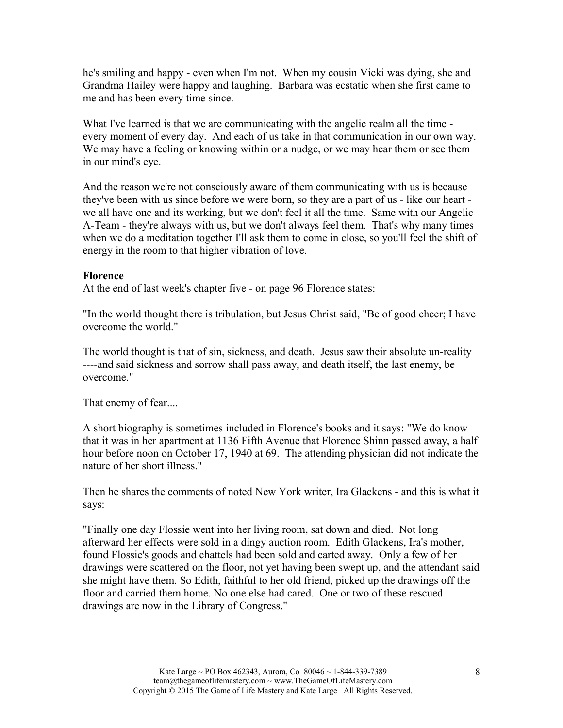he's smiling and happy - even when I'm not. When my cousin Vicki was dying, she and Grandma Hailey were happy and laughing. Barbara was ecstatic when she first came to me and has been every time since.

What I've learned is that we are communicating with the angelic realm all the time every moment of every day. And each of us take in that communication in our own way. We may have a feeling or knowing within or a nudge, or we may hear them or see them in our mind's eye.

And the reason we're not consciously aware of them communicating with us is because they've been with us since before we were born, so they are a part of us - like our heart we all have one and its working, but we don't feel it all the time. Same with our Angelic A-Team - they're always with us, but we don't always feel them. That's why many times when we do a meditation together I'll ask them to come in close, so you'll feel the shift of energy in the room to that higher vibration of love.

## **Florence**

At the end of last week's chapter five - on page 96 Florence states:

"In the world thought there is tribulation, but Jesus Christ said, "Be of good cheer; I have overcome the world."

The world thought is that of sin, sickness, and death. Jesus saw their absolute un-reality ----and said sickness and sorrow shall pass away, and death itself, the last enemy, be overcome."

That enemy of fear....

A short biography is sometimes included in Florence's books and it says: "We do know that it was in her apartment at 1136 Fifth Avenue that Florence Shinn passed away, a half hour before noon on October 17, 1940 at 69. The attending physician did not indicate the nature of her short illness."

Then he shares the comments of noted New York writer, Ira Glackens - and this is what it says:

"Finally one day Flossie went into her living room, sat down and died. Not long afterward her effects were sold in a dingy auction room. Edith Glackens, Ira's mother, found Flossie's goods and chattels had been sold and carted away. Only a few of her drawings were scattered on the floor, not yet having been swept up, and the attendant said she might have them. So Edith, faithful to her old friend, picked up the drawings off the floor and carried them home. No one else had cared. One or two of these rescued drawings are now in the Library of Congress."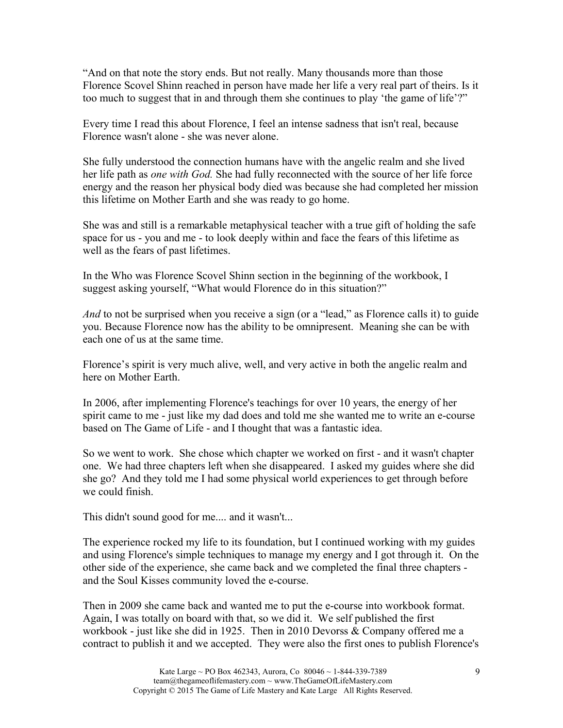"And on that note the story ends. But not really. Many thousands more than those Florence Scovel Shinn reached in person have made her life a very real part of theirs. Is it too much to suggest that in and through them she continues to play 'the game of life'?"

Every time I read this about Florence, I feel an intense sadness that isn't real, because Florence wasn't alone - she was never alone.

She fully understood the connection humans have with the angelic realm and she lived her life path as *one with God.* She had fully reconnected with the source of her life force energy and the reason her physical body died was because she had completed her mission this lifetime on Mother Earth and she was ready to go home.

She was and still is a remarkable metaphysical teacher with a true gift of holding the safe space for us - you and me - to look deeply within and face the fears of this lifetime as well as the fears of past lifetimes.

In the Who was Florence Scovel Shinn section in the beginning of the workbook, I suggest asking yourself, "What would Florence do in this situation?"

*And* to not be surprised when you receive a sign (or a "lead," as Florence calls it) to guide you. Because Florence now has the ability to be omnipresent. Meaning she can be with each one of us at the same time.

Florence's spirit is very much alive, well, and very active in both the angelic realm and here on Mother Earth.

In 2006, after implementing Florence's teachings for over 10 years, the energy of her spirit came to me - just like my dad does and told me she wanted me to write an e-course based on The Game of Life - and I thought that was a fantastic idea.

So we went to work. She chose which chapter we worked on first - and it wasn't chapter one. We had three chapters left when she disappeared. I asked my guides where she did she go? And they told me I had some physical world experiences to get through before we could finish.

This didn't sound good for me.... and it wasn't...

The experience rocked my life to its foundation, but I continued working with my guides and using Florence's simple techniques to manage my energy and I got through it. On the other side of the experience, she came back and we completed the final three chapters and the Soul Kisses community loved the e-course.

Then in 2009 she came back and wanted me to put the e-course into workbook format. Again, I was totally on board with that, so we did it. We self published the first workbook - just like she did in 1925. Then in 2010 Devorss & Company offered me a contract to publish it and we accepted. They were also the first ones to publish Florence's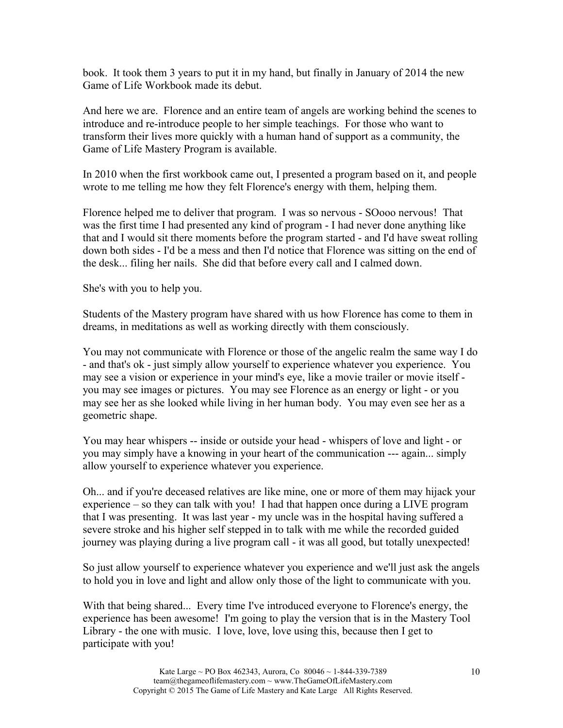book. It took them 3 years to put it in my hand, but finally in January of 2014 the new Game of Life Workbook made its debut.

And here we are. Florence and an entire team of angels are working behind the scenes to introduce and re-introduce people to her simple teachings. For those who want to transform their lives more quickly with a human hand of support as a community, the Game of Life Mastery Program is available.

In 2010 when the first workbook came out, I presented a program based on it, and people wrote to me telling me how they felt Florence's energy with them, helping them.

Florence helped me to deliver that program. I was so nervous - SOooo nervous! That was the first time I had presented any kind of program - I had never done anything like that and I would sit there moments before the program started - and I'd have sweat rolling down both sides - I'd be a mess and then I'd notice that Florence was sitting on the end of the desk... filing her nails. She did that before every call and I calmed down.

She's with you to help you.

Students of the Mastery program have shared with us how Florence has come to them in dreams, in meditations as well as working directly with them consciously.

You may not communicate with Florence or those of the angelic realm the same way I do - and that's ok - just simply allow yourself to experience whatever you experience. You may see a vision or experience in your mind's eye, like a movie trailer or movie itself you may see images or pictures. You may see Florence as an energy or light - or you may see her as she looked while living in her human body. You may even see her as a geometric shape.

You may hear whispers -- inside or outside your head - whispers of love and light - or you may simply have a knowing in your heart of the communication --- again... simply allow yourself to experience whatever you experience.

Oh... and if you're deceased relatives are like mine, one or more of them may hijack your experience – so they can talk with you! I had that happen once during a LIVE program that I was presenting. It was last year - my uncle was in the hospital having suffered a severe stroke and his higher self stepped in to talk with me while the recorded guided journey was playing during a live program call - it was all good, but totally unexpected!

So just allow yourself to experience whatever you experience and we'll just ask the angels to hold you in love and light and allow only those of the light to communicate with you.

With that being shared... Every time I've introduced everyone to Florence's energy, the experience has been awesome! I'm going to play the version that is in the Mastery Tool Library - the one with music. I love, love, love using this, because then I get to participate with you!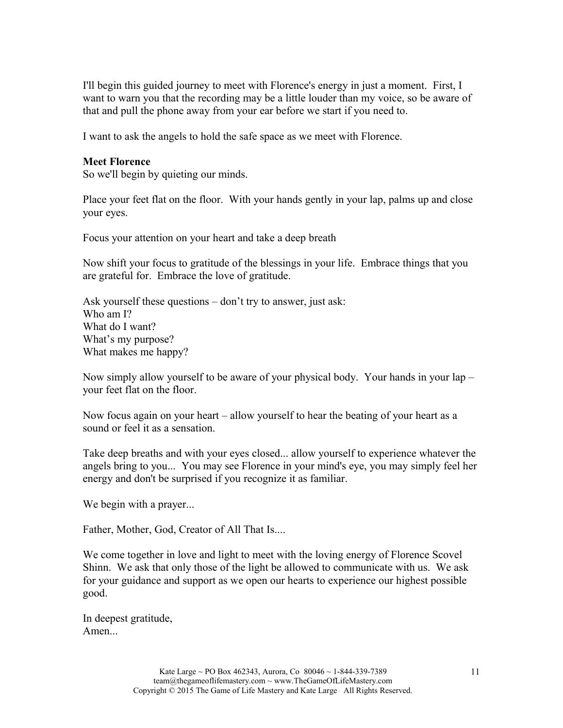I'll begin this guided journey to meet with Florence's energy in just a moment. First, I want to warn you that the recording may be a little louder than my voice, so be aware of that and pull the phone away from your ear before we start if you need to.

I want to ask the angels to hold the safe space as we meet with Florence.

#### **Meet Florence**

So we'll begin by quieting our minds.

Place your feet flat on the floor. With your hands gently in your lap, palms up and close your eyes.

Focus your attention on your heart and take a deep breath

Now shift your focus to gratitude of the blessings in your life. Embrace things that you are grateful for. Embrace the love of gratitude.

Ask yourself these questions – don't try to answer, just ask: Who am I? What do I want? What's my purpose? What makes me happy?

Now simply allow yourself to be aware of your physical body. Your hands in your lap – your feet flat on the floor.

Now focus again on your heart – allow yourself to hear the beating of your heart as a sound or feel it as a sensation.

Take deep breaths and with your eyes closed... allow yourself to experience whatever the angels bring to you... You may see Florence in your mind's eye, you may simply feel her energy and don't be surprised if you recognize it as familiar.

We begin with a prayer...

Father, Mother, God, Creator of All That Is....

We come together in love and light to meet with the loving energy of Florence Scovel Shinn. We ask that only those of the light be allowed to communicate with us. We ask for your guidance and support as we open our hearts to experience our highest possible good.

In deepest gratitude, Amen...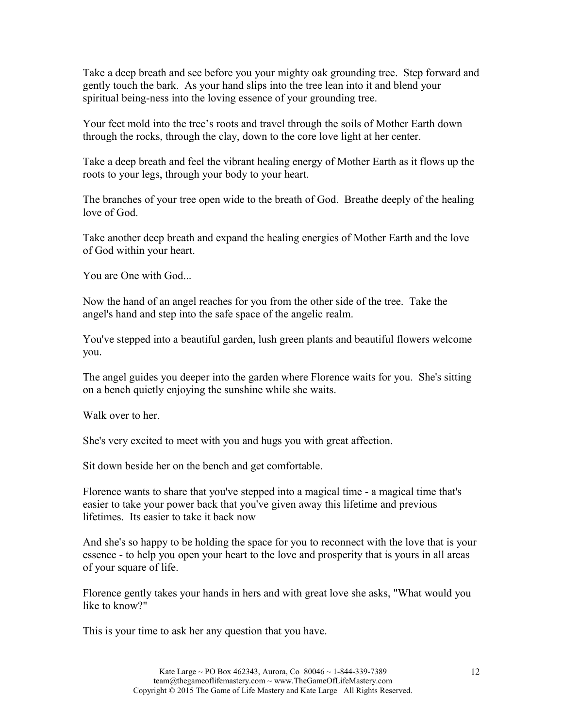Take a deep breath and see before you your mighty oak grounding tree. Step forward and gently touch the bark. As your hand slips into the tree lean into it and blend your spiritual being-ness into the loving essence of your grounding tree.

Your feet mold into the tree's roots and travel through the soils of Mother Earth down through the rocks, through the clay, down to the core love light at her center.

Take a deep breath and feel the vibrant healing energy of Mother Earth as it flows up the roots to your legs, through your body to your heart.

The branches of your tree open wide to the breath of God. Breathe deeply of the healing love of God.

Take another deep breath and expand the healing energies of Mother Earth and the love of God within your heart.

You are One with God...

Now the hand of an angel reaches for you from the other side of the tree. Take the angel's hand and step into the safe space of the angelic realm.

You've stepped into a beautiful garden, lush green plants and beautiful flowers welcome you.

The angel guides you deeper into the garden where Florence waits for you. She's sitting on a bench quietly enjoying the sunshine while she waits.

Walk over to her.

She's very excited to meet with you and hugs you with great affection.

Sit down beside her on the bench and get comfortable.

Florence wants to share that you've stepped into a magical time - a magical time that's easier to take your power back that you've given away this lifetime and previous lifetimes. Its easier to take it back now

And she's so happy to be holding the space for you to reconnect with the love that is your essence - to help you open your heart to the love and prosperity that is yours in all areas of your square of life.

Florence gently takes your hands in hers and with great love she asks, "What would you like to know?"

This is your time to ask her any question that you have.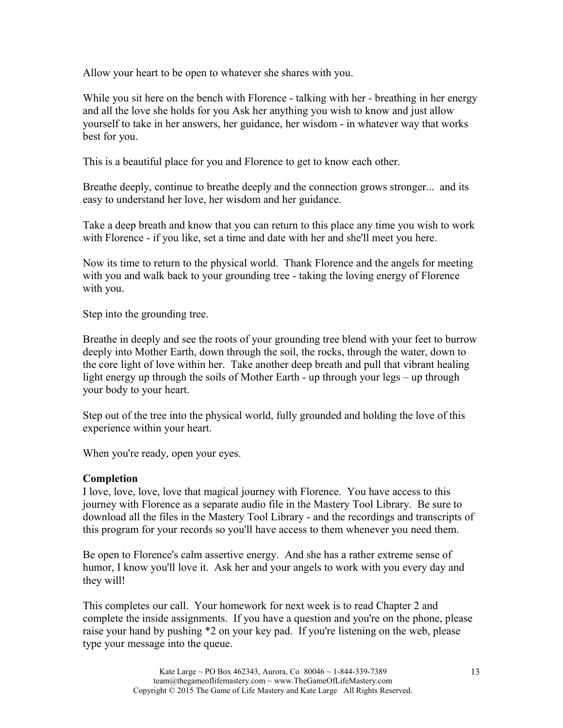Allow your heart to be open to whatever she shares with you.

While you sit here on the bench with Florence - talking with her - breathing in her energy and all the love she holds for you Ask her anything you wish to know and just allow yourself to take in her answers, her guidance, her wisdom - in whatever way that works best for you.

This is a beautiful place for you and Florence to get to know each other.

Breathe deeply, continue to breathe deeply and the connection grows stronger... and its easy to understand her love, her wisdom and her guidance.

Take a deep breath and know that you can return to this place any time you wish to work with Florence - if you like, set a time and date with her and she'll meet you here.

Now its time to return to the physical world. Thank Florence and the angels for meeting with you and walk back to your grounding tree - taking the loving energy of Florence with you.

Step into the grounding tree.

Breathe in deeply and see the roots of your grounding tree blend with your feet to burrow deeply into Mother Earth, down through the soil, the rocks, through the water, down to the core light of love within her. Take another deep breath and pull that vibrant healing light energy up through the soils of Mother Earth - up through your legs – up through your body to your heart.

Step out of the tree into the physical world, fully grounded and holding the love of this experience within your heart.

When you're ready, open your eyes.

### **Completion**

I love, love, love, love that magical journey with Florence. You have access to this journey with Florence as a separate audio file in the Mastery Tool Library. Be sure to download all the files in the Mastery Tool Library - and the recordings and transcripts of this program for your records so you'll have access to them whenever you need them.

Be open to Florence's calm assertive energy. And she has a rather extreme sense of humor, I know you'll love it. Ask her and your angels to work with you every day and they will!

This completes our call. Your homework for next week is to read Chapter 2 and complete the inside assignments. If you have a question and you're on the phone, please raise your hand by pushing \*2 on your key pad. If you're listening on the web, please type your message into the queue.